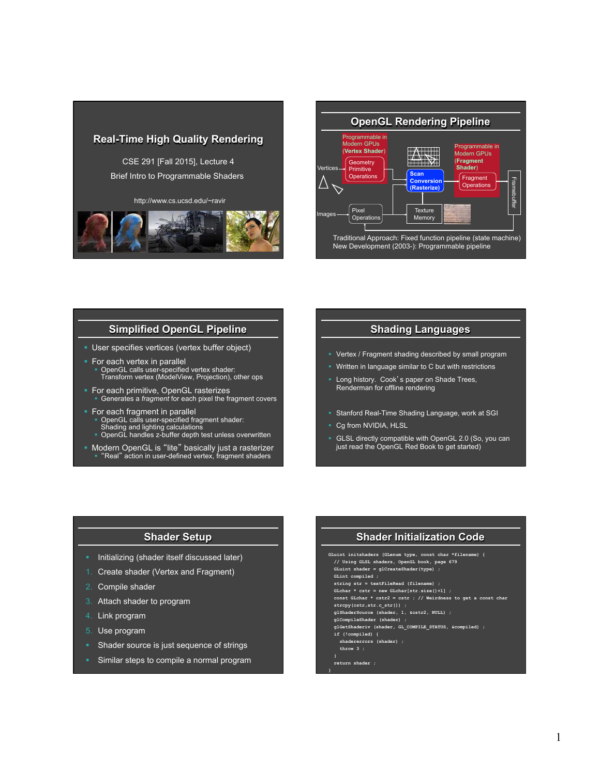



## **Simplified OpenGL Pipeline**

- § User specifies vertices (vertex buffer object)
- **•** For each vertex in parallel § OpenGL calls user-specified vertex shader: Transform vertex (ModelView, Projection), other ops
- § For each primitive, OpenGL rasterizes § Generates a *fragment* for each pixel the fragment covers
- § For each fragment in parallel
	- § OpenGL calls user-specified fragment shader:
	- Shading and lighting calculations § OpenGL handles z-buffer depth test unless overwritten
	-
- Modern OpenGL is "lite" basically just a rasterizer<br>■ "Real" action in user-defined vertex, fragment shaders

### **Shading Languages**

- § Vertex / Fragment shading described by small program
- § Written in language similar to C but with restrictions
- Long history. Cook's paper on Shade Trees, Renderman for offline rendering
- **Stanford Real-Time Shading Language, work at SGI**
- § Cg from NVIDIA, HLSL
- § GLSL directly compatible with OpenGL 2.0 (So, you can just read the OpenGL Red Book to get started)

### **Shader Setup**

- § Initializing (shader itself discussed later)
- 1. Create shader (Vertex and Fragment)
- 2. Compile shader
- 3. Attach shader to program
- 4. Link program
- 5. Use program
- § Shader source is just sequence of strings
- § Similar steps to compile a normal program

# **Shader Initialization Code**

**GLuint initshaders (GLenum type, const char \*filename) { // Using GLSL shaders, OpenGL book, page 679 GLuint shader = glCreateShader(type) ;** 

- **GLint compiled ;**
- string str = textFileRead (filenam
- **GLchar \* cstr = new GLchar[str.size()+1] ;**
- **const GLchar \* cstr2 = cstr ; // Weirdness to get a const char strcpy(cstr,str.c\_str()) ;**
- **glShaderSource (shader, 1, &cstr2, NULL) ;**
- **glCompileShader (shader) ;**
- **glGetShaderiv (shader, GL\_COMPILE\_STATUS, &compiled) ;**
- **if (!compiled) { shadererrors (shader) ;**
- **throw 3 ;**
- 

**}** 

 **return shader ;**